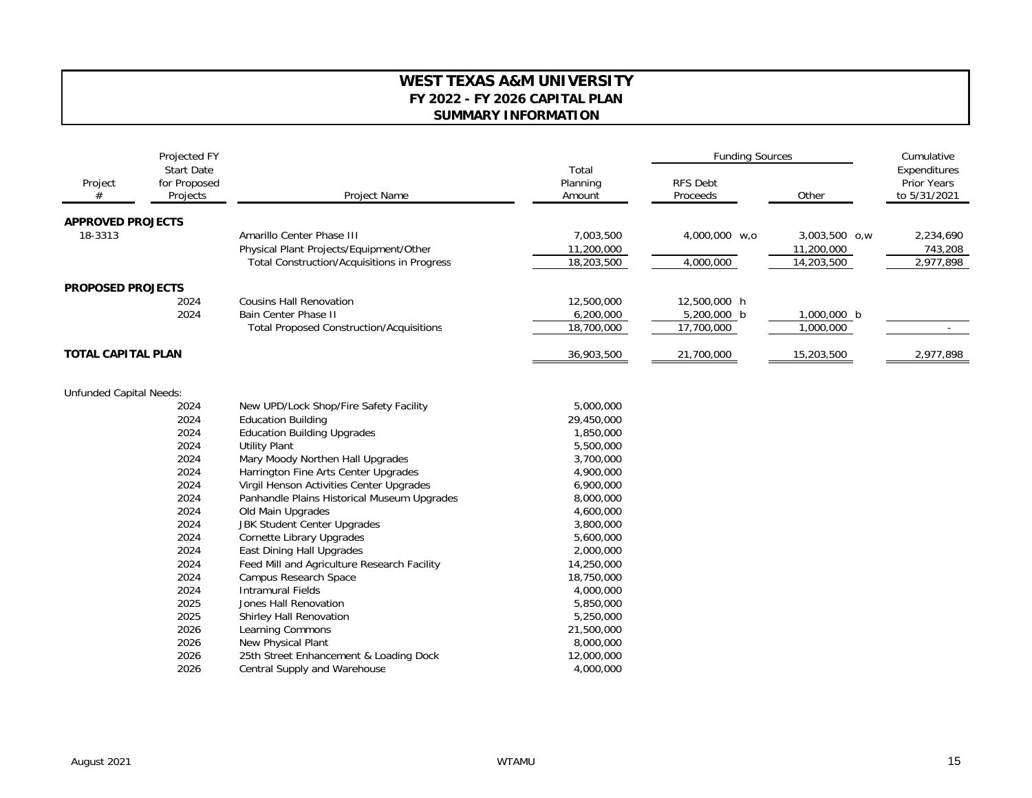## **WEST TEXAS A&M UNIVERSITY FY 2022 - FY 2026 CAPITAL PLAN SUMMARY INFORMATION**

|                                | Projected FY<br><b>Start Date</b><br>for Proposed<br>Projects | Project Name                                    | Total<br>Planning<br>Amount | <b>Funding Sources</b>      |               | Cumulative                                         |
|--------------------------------|---------------------------------------------------------------|-------------------------------------------------|-----------------------------|-----------------------------|---------------|----------------------------------------------------|
| Project<br>#                   |                                                               |                                                 |                             | <b>RFS Debt</b><br>Proceeds | Other         | Expenditures<br><b>Prior Years</b><br>to 5/31/2021 |
|                                |                                                               |                                                 |                             |                             |               |                                                    |
| <b>APPROVED PROJECTS</b>       |                                                               |                                                 |                             |                             |               |                                                    |
| 18-3313                        |                                                               | Amarillo Center Phase III                       | 7,003,500                   | 4,000,000 w,o               | 3,003,500 o,w | 2,234,690                                          |
|                                |                                                               | Physical Plant Projects/Equipment/Other         | 11,200,000                  |                             | 11,200,000    | 743,208                                            |
|                                |                                                               | Total Construction/Acquisitions in Progress     | 18,203,500                  | 4,000,000                   | 14,203,500    | 2,977,898                                          |
|                                |                                                               |                                                 |                             |                             |               |                                                    |
| <b>PROPOSED PROJECTS</b>       |                                                               | <b>Cousins Hall Renovation</b>                  |                             |                             |               |                                                    |
|                                | 2024<br>2024                                                  | <b>Bain Center Phase II</b>                     | 12,500,000                  | 12,500,000 h                |               |                                                    |
|                                |                                                               |                                                 | 6,200,000                   | 5,200,000 b                 | 1,000,000 b   |                                                    |
|                                |                                                               | <b>Total Proposed Construction/Acquisitions</b> | 18,700,000                  | 17,700,000                  | 1,000,000     |                                                    |
| <b>TOTAL CAPITAL PLAN</b>      |                                                               |                                                 | 36,903,500                  | 21,700,000                  | 15,203,500    | 2,977,898                                          |
|                                |                                                               |                                                 |                             |                             |               |                                                    |
| <b>Unfunded Capital Needs:</b> |                                                               |                                                 |                             |                             |               |                                                    |
|                                | 2024                                                          | New UPD/Lock Shop/Fire Safety Facility          | 5,000,000                   |                             |               |                                                    |
|                                | 2024                                                          | <b>Education Building</b>                       | 29,450,000                  |                             |               |                                                    |
|                                | 2024                                                          | <b>Education Building Upgrades</b>              | 1,850,000                   |                             |               |                                                    |
|                                | 2024                                                          | <b>Utility Plant</b>                            | 5,500,000                   |                             |               |                                                    |
|                                | 2024                                                          | Mary Moody Northen Hall Upgrades                | 3,700,000                   |                             |               |                                                    |
|                                | 2024                                                          | Harrington Fine Arts Center Upgrades            | 4,900,000                   |                             |               |                                                    |
|                                | 2024                                                          | Virgil Henson Activities Center Upgrades        | 6,900,000                   |                             |               |                                                    |
|                                | 2024                                                          | Panhandle Plains Historical Museum Upgrades     | 8,000,000                   |                             |               |                                                    |
|                                | 2024                                                          | Old Main Upgrades                               | 4,600,000                   |                             |               |                                                    |
|                                | 2024                                                          | <b>JBK Student Center Upgrades</b>              | 3,800,000                   |                             |               |                                                    |
|                                | 2024                                                          | <b>Cornette Library Upgrades</b>                | 5,600,000                   |                             |               |                                                    |
|                                | 2024                                                          | East Dining Hall Upgrades                       | 2,000,000                   |                             |               |                                                    |
|                                | 2024                                                          | Feed Mill and Agriculture Research Facility     | 14,250,000                  |                             |               |                                                    |
|                                | 2024                                                          | Campus Research Space                           | 18,750,000                  |                             |               |                                                    |
|                                | 2024                                                          | <b>Intramural Fields</b>                        | 4,000,000                   |                             |               |                                                    |
|                                | 2025                                                          | Jones Hall Renovation                           | 5,850,000                   |                             |               |                                                    |
|                                | 2025                                                          | Shirley Hall Renovation                         | 5,250,000                   |                             |               |                                                    |
|                                | 2026                                                          | Learning Commons                                | 21,500,000                  |                             |               |                                                    |
|                                | 2026                                                          | New Physical Plant                              | 8,000,000                   |                             |               |                                                    |
|                                | 2026                                                          | 25th Street Enhancement & Loading Dock          | 12,000,000                  |                             |               |                                                    |
|                                | 2026                                                          | Central Supply and Warehouse                    | 4,000,000                   |                             |               |                                                    |